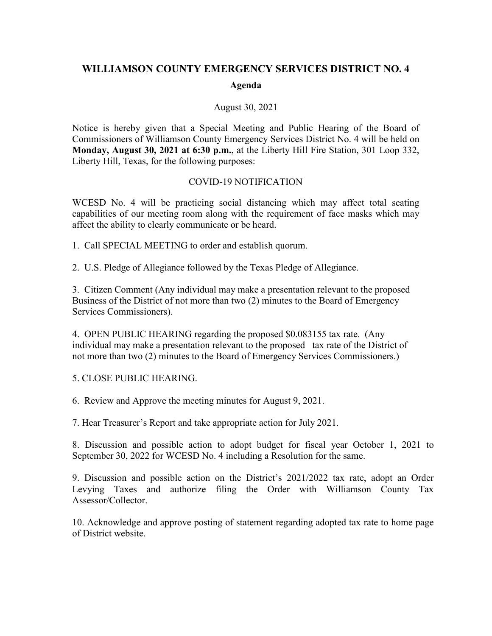## **WILLIAMSON COUNTY EMERGENCY SERVICES DISTRICT NO. 4**

## **Agenda**

## August 30, 2021

Notice is hereby given that a Special Meeting and Public Hearing of the Board of Commissioners of Williamson County Emergency Services District No. 4 will be held on **Monday, August 30, 2021 at 6:30 p.m.**, at the Liberty Hill Fire Station, 301 Loop 332, Liberty Hill, Texas, for the following purposes:

## COVID-19 NOTIFICATION

WCESD No. 4 will be practicing social distancing which may affect total seating capabilities of our meeting room along with the requirement of face masks which may affect the ability to clearly communicate or be heard.

1. Call SPECIAL MEETING to order and establish quorum.

2. U.S. Pledge of Allegiance followed by the Texas Pledge of Allegiance.

3. Citizen Comment (Any individual may make a presentation relevant to the proposed Business of the District of not more than two (2) minutes to the Board of Emergency Services Commissioners).

4. OPEN PUBLIC HEARING regarding the proposed \$0.083155 tax rate. (Any individual may make a presentation relevant to the proposed tax rate of the District of not more than two (2) minutes to the Board of Emergency Services Commissioners.)

5. CLOSE PUBLIC HEARING.

6. Review and Approve the meeting minutes for August 9, 2021.

7. Hear Treasurer's Report and take appropriate action for July 2021.

8. Discussion and possible action to adopt budget for fiscal year October 1, 2021 to September 30, 2022 for WCESD No. 4 including a Resolution for the same.

9. Discussion and possible action on the District's 2021/2022 tax rate, adopt an Order Levying Taxes and authorize filing the Order with Williamson County Tax Assessor/Collector.

10. Acknowledge and approve posting of statement regarding adopted tax rate to home page of District website.